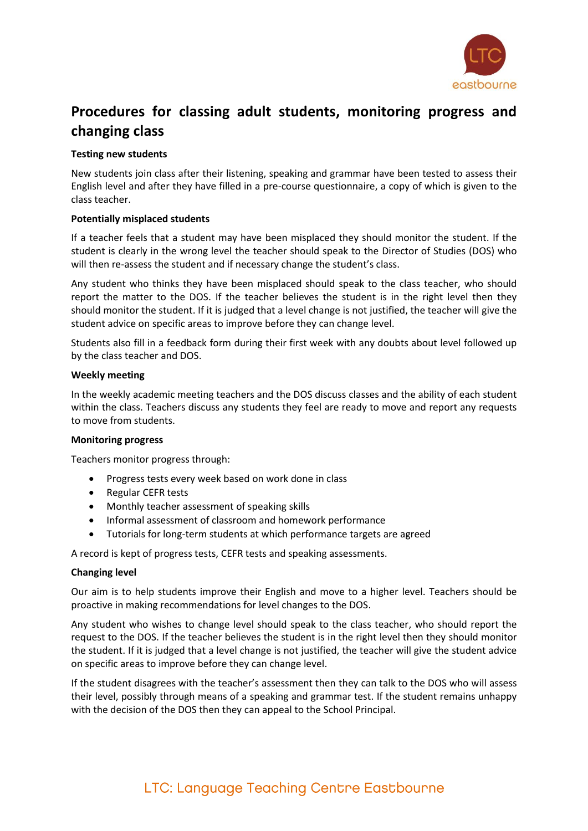

# **Procedures for classing adult students, monitoring progress and changing class**

## **Testing new students**

New students join class after their listening, speaking and grammar have been tested to assess their English level and after they have filled in a pre-course questionnaire, a copy of which is given to the class teacher.

### **Potentially misplaced students**

If a teacher feels that a student may have been misplaced they should monitor the student. If the student is clearly in the wrong level the teacher should speak to the Director of Studies (DOS) who will then re-assess the student and if necessary change the student's class.

Any student who thinks they have been misplaced should speak to the class teacher, who should report the matter to the DOS. If the teacher believes the student is in the right level then they should monitor the student. If it is judged that a level change is not justified, the teacher will give the student advice on specific areas to improve before they can change level.

Students also fill in a feedback form during their first week with any doubts about level followed up by the class teacher and DOS.

### **Weekly meeting**

In the weekly academic meeting teachers and the DOS discuss classes and the ability of each student within the class. Teachers discuss any students they feel are ready to move and report any requests to move from students.

### **Monitoring progress**

Teachers monitor progress through:

- Progress tests every week based on work done in class
- Regular CEFR tests
- Monthly teacher assessment of speaking skills
- Informal assessment of classroom and homework performance
- Tutorials for long-term students at which performance targets are agreed

A record is kept of progress tests, CEFR tests and speaking assessments.

### **Changing level**

Our aim is to help students improve their English and move to a higher level. Teachers should be proactive in making recommendations for level changes to the DOS.

Any student who wishes to change level should speak to the class teacher, who should report the request to the DOS. If the teacher believes the student is in the right level then they should monitor the student. If it is judged that a level change is not justified, the teacher will give the student advice on specific areas to improve before they can change level.

If the student disagrees with the teacher's assessment then they can talk to the DOS who will assess their level, possibly through means of a speaking and grammar test. If the student remains unhappy with the decision of the DOS then they can appeal to the School Principal.